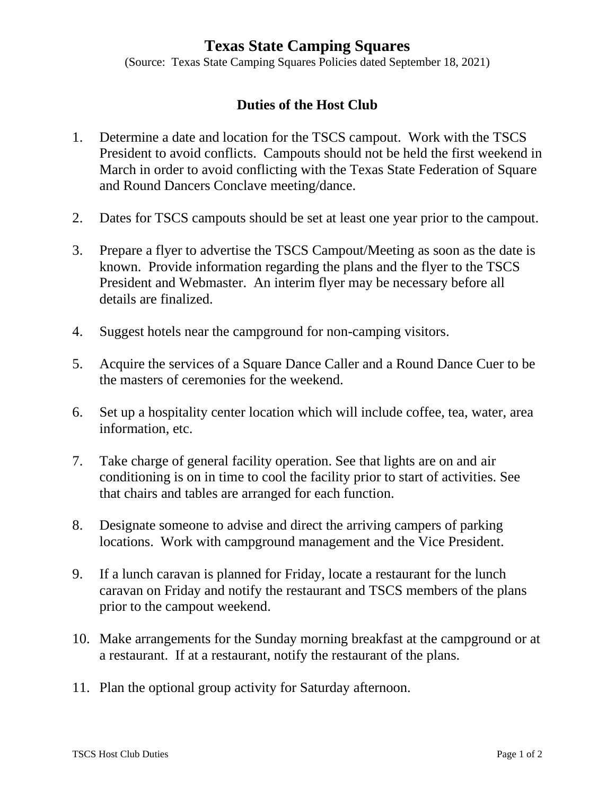## **Texas State Camping Squares**

(Source: Texas State Camping Squares Policies dated September 18, 2021)

## **Duties of the Host Club**

- 1. Determine a date and location for the TSCS campout. Work with the TSCS President to avoid conflicts. Campouts should not be held the first weekend in March in order to avoid conflicting with the Texas State Federation of Square and Round Dancers Conclave meeting/dance.
- 2. Dates for TSCS campouts should be set at least one year prior to the campout.
- 3. Prepare a flyer to advertise the TSCS Campout/Meeting as soon as the date is known. Provide information regarding the plans and the flyer to the TSCS President and Webmaster. An interim flyer may be necessary before all details are finalized.
- 4. Suggest hotels near the campground for non-camping visitors.
- 5. Acquire the services of a Square Dance Caller and a Round Dance Cuer to be the masters of ceremonies for the weekend.
- 6. Set up a hospitality center location which will include coffee, tea, water, area information, etc.
- 7. Take charge of general facility operation. See that lights are on and air conditioning is on in time to cool the facility prior to start of activities. See that chairs and tables are arranged for each function.
- 8. Designate someone to advise and direct the arriving campers of parking locations. Work with campground management and the Vice President.
- 9. If a lunch caravan is planned for Friday, locate a restaurant for the lunch caravan on Friday and notify the restaurant and TSCS members of the plans prior to the campout weekend.
- 10. Make arrangements for the Sunday morning breakfast at the campground or at a restaurant. If at a restaurant, notify the restaurant of the plans.
- 11. Plan the optional group activity for Saturday afternoon.